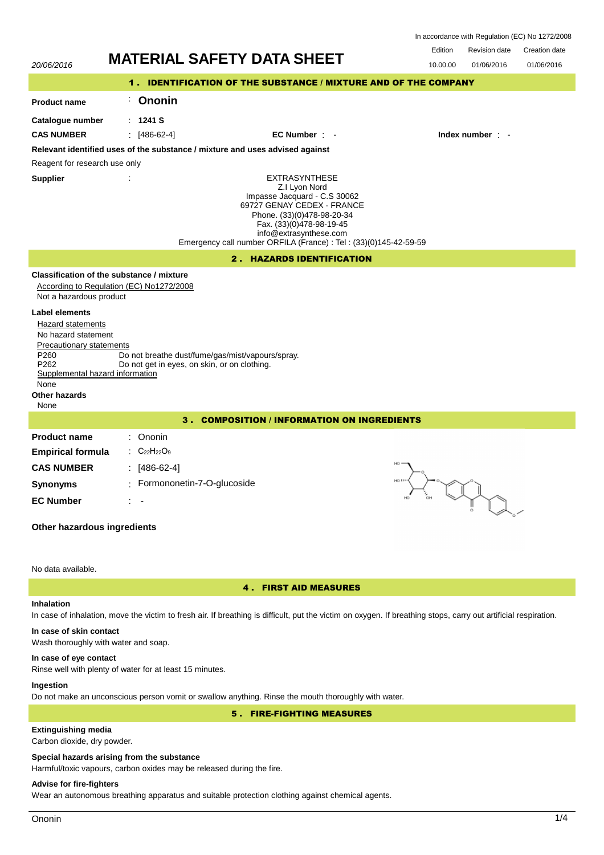| In accordance with Regulation (EC) No 1272/2008 |  |  |
|-------------------------------------------------|--|--|
|-------------------------------------------------|--|--|

| Revision date | Creation date |
|---------------|---------------|



# **Inhalation**

In case of inhalation, move the victim to fresh air. If breathing is difficult, put the victim on oxygen. If breathing stops, carry out artificial respiration.

# **In case of skin contact**

Wash thoroughly with water and soap.

#### **In case of eye contact**

Rinse well with plenty of water for at least 15 minutes.

### **Ingestion**

Do not make an unconscious person vomit or swallow anything. Rinse the mouth thoroughly with water.

5 . FIRE-FIGHTING MEASURES

# **Extinguishing media**

Carbon dioxide, dry powder.

#### **Special hazards arising from the substance**

Harmful/toxic vapours, carbon oxides may be released during the fire.

### **Advise for fire-fighters**

Wear an autonomous breathing apparatus and suitable protection clothing against chemical agents.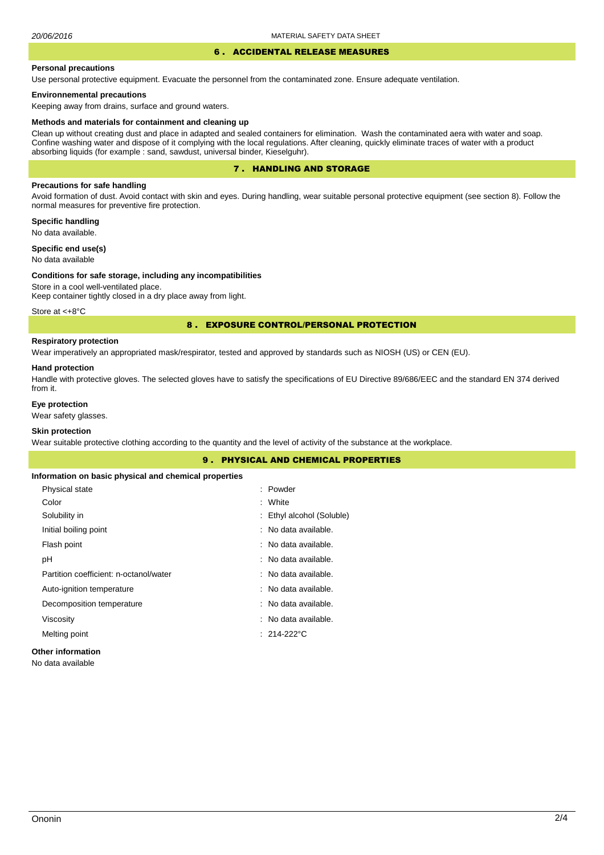## 6 . ACCIDENTAL RELEASE MEASURES

#### **Personal precautions**

Use personal protective equipment. Evacuate the personnel from the contaminated zone. Ensure adequate ventilation.

#### **Environnemental precautions**

Keeping away from drains, surface and ground waters.

#### **Methods and materials for containment and cleaning up**

Clean up without creating dust and place in adapted and sealed containers for elimination. Wash the contaminated aera with water and soap. Confine washing water and dispose of it complying with the local regulations. After cleaning, quickly eliminate traces of water with a product absorbing liquids (for example : sand, sawdust, universal binder, Kieselguhr).

### 7 . HANDLING AND STORAGE

### **Precautions for safe handling**

Avoid formation of dust. Avoid contact with skin and eyes. During handling, wear suitable personal protective equipment (see section 8). Follow the normal measures for preventive fire protection.

**Specific handling** No data available.

**Specific end use(s)**

# No data available

#### **Conditions for safe storage, including any incompatibilities**

Store in a cool well-ventilated place. Keep container tightly closed in a dry place away from light.

Store at <+8°C

#### 8 . EXPOSURE CONTROL/PERSONAL PROTECTION

# **Respiratory protection**

Wear imperatively an appropriated mask/respirator, tested and approved by standards such as NIOSH (US) or CEN (EU).

#### **Hand protection**

Handle with protective gloves. The selected gloves have to satisfy the specifications of EU Directive 89/686/EEC and the standard EN 374 derived from it.

### **Eye protection**

Wear safety glasses.

### **Skin protection**

Wear suitable protective clothing according to the quantity and the level of activity of the substance at the workplace.

|                                                       | 9. PHYSICAL AND CHEMICAL PROPERTIES |
|-------------------------------------------------------|-------------------------------------|
| Information on basic physical and chemical properties |                                     |
| Physical state                                        | : Powder                            |
| Color                                                 | : White                             |
| Solubility in                                         | : Ethyl alcohol (Soluble)           |
| Initial boiling point                                 | : No data available.                |
| Flash point                                           | : No data available.                |
| рH                                                    | : No data available.                |
| Partition coefficient: n-octanol/water                | : No data available.                |
| Auto-ignition temperature                             | : No data available.                |
| Decomposition temperature                             | : No data available.                |
| Viscosity                                             | : No data available.                |
| Melting point                                         | $: 214-222^{\circ}$ C               |
| <b>Other information</b>                              |                                     |

No data available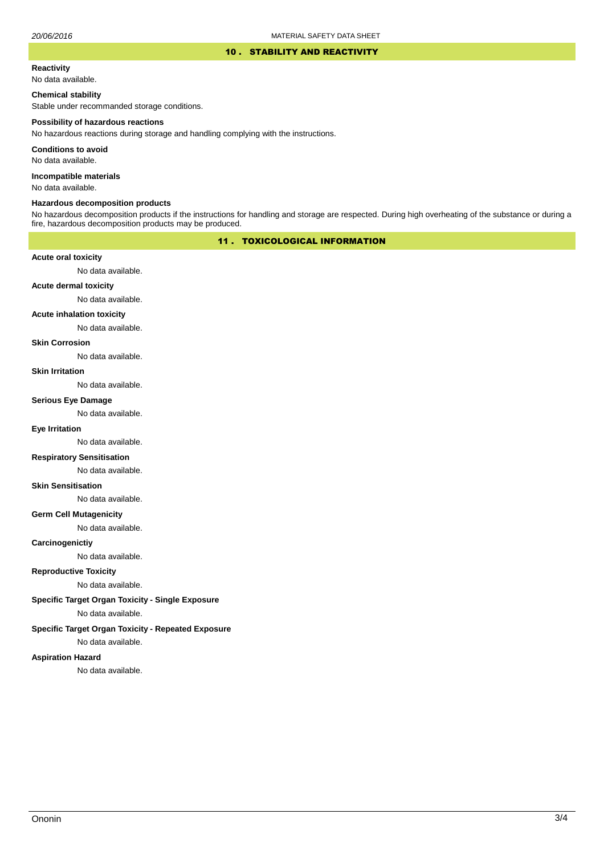#### 10 . STABILITY AND REACTIVITY

#### **Reactivity**

No data available.

#### **Chemical stability**

Stable under recommanded storage conditions.

#### **Possibility of hazardous reactions**

No hazardous reactions during storage and handling complying with the instructions.

**Conditions to avoid**

No data available.

**Incompatible materials**

No data available.

### **Hazardous decomposition products**

No hazardous decomposition products if the instructions for handling and storage are respected. During high overheating of the substance or during a fire, hazardous decomposition products may be produced.

### 11 . TOXICOLOGICAL INFORMATION

#### **Acute oral toxicity**

No data available.

# **Acute dermal toxicity**

No data available.

#### **Acute inhalation toxicity**

No data available.

### **Skin Corrosion**

No data available.

#### **Skin Irritation**

No data available.

# **Serious Eye Damage**

No data available.

# **Eye Irritation**

No data available.

### **Respiratory Sensitisation**

No data available.

#### **Skin Sensitisation**

No data available.

#### **Germ Cell Mutagenicity**

No data available.

#### **Carcinogenictiy**

No data available.

## **Reproductive Toxicity**

No data available.

## **Specific Target Organ Toxicity - Single Exposure**

No data available.

### **Specific Target Organ Toxicity - Repeated Exposure**

No data available.

#### **Aspiration Hazard**

No data available.